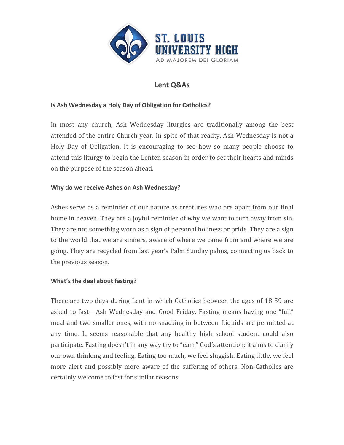

# **Lent Q&As**

### **Is Ash Wednesday a Holy Day of Obligation for Catholics?**

In most any church, Ash Wednesday liturgies are traditionally among the best attended of the entire Church year. In spite of that reality, Ash Wednesday is not a Holy Day of Obligation. It is encouraging to see how so many people choose to attend this liturgy to begin the Lenten season in order to set their hearts and minds on the purpose of the season ahead.

### **Why do we receive Ashes on Ash Wednesday?**

Ashes serve as a reminder of our nature as creatures who are apart from our final home in heaven. They are a joyful reminder of why we want to turn away from sin. They are not something worn as a sign of personal holiness or pride. They are a sign to the world that we are sinners, aware of where we came from and where we are going. They are recycled from last year's Palm Sunday palms, connecting us back to the previous season.

## **What's the deal about fasting?**

There are two days during Lent in which Catholics between the ages of 18-59 are asked to fast—Ash Wednesday and Good Friday. Fasting means having one "full" meal and two smaller ones, with no snacking in between. Liquids are permitted at any time. It seems reasonable that any healthy high school student could also participate. Fasting doesn't in any way try to "earn" God's attention; it aims to clarify our own thinking and feeling. Eating too much, we feel sluggish. Eating little, we feel more alert and possibly more aware of the suffering of others. Non-Catholics are certainly welcome to fast for similar reasons.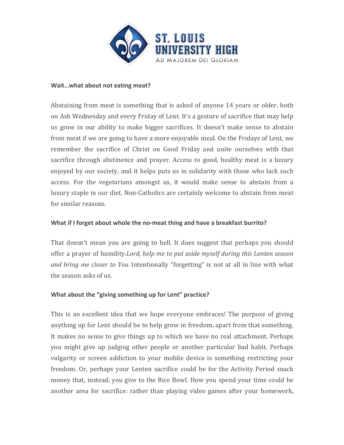

#### Wait...what about not eating meat?

Abstaining from meat is something that is asked of anyone 14 years or older, both on Ash Wednesday and every Friday of Lent. It's a gesture of sacrifice that may help us grow in our ability to make bigger sacrifices. It doesn't make sense to abstain from meat if we are going to have a more enjoyable meal. On the Fridays of Lent, we remember the sacrifice of Christ on Good Friday and unite ourselves with that sacrifice through abstinence and prayer. Access to good, healthy meat is a luxury enjoyed by our society, and it helps puts us in solidarity with those who lack such access. For the vegetarians amongst us, it would make sense to abstain from a luxury staple in our diet. Non-Catholics are certainly welcome to abstain from meat for similar reasons.

#### **What if I forget about whole the no-meat thing and have a breakfast burrito?**

That doesn't mean you are going to hell. It does suggest that perhaps you should offer a prayer of humility.*Lord, help me to put aside myself during this Lenten season and bring me closer to You.* Intentionally "forgetting" is not at all in line with what the season asks of us.

### **What about the "giving something up for Lent" practice?**

This is an excellent idea that we hope everyone embraces! The purpose of giving anything up for Lent should be to help grow in freedom, apart from that something. It makes no sense to give things up to which we have no real attachment. Perhaps you might give up judging other people or another particular bad habit. Perhaps vulgarity or screen addiction to your mobile device is something restricting your freedom. Or, perhaps your Lenten sacrifice could be for the Activity Period snack money that, instead, you give to the Rice Bowl. How you spend your time could be another area for sacrifice: rather than playing video games after your homework,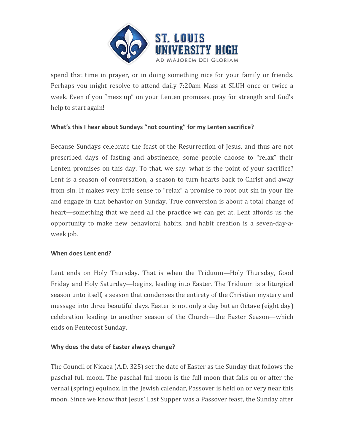

spend that time in prayer, or in doing something nice for your family or friends. Perhaps you might resolve to attend daily 7:20am Mass at SLUH once or twice a week. Even if you "mess up" on your Lenten promises, pray for strength and God's help to start again!

## What's this I hear about Sundays "not counting" for my Lenten sacrifice?

Because Sundays celebrate the feast of the Resurrection of Jesus, and thus are not prescribed days of fasting and abstinence, some people choose to "relax" their Lenten promises on this day. To that, we say: what is the point of your sacrifice? Lent is a season of conversation, a season to turn hearts back to Christ and away from sin. It makes very little sense to "relax" a promise to root out sin in your life and engage in that behavior on Sunday. True conversion is about a total change of heart—something that we need all the practice we can get at. Lent affords us the opportunity to make new behavioral habits, and habit creation is a seven-day-aweek job.

#### **When does Lent end?**

Lent ends on Holy Thursday. That is when the Triduum—Holy Thursday, Good Friday and Holy Saturday—begins, leading into Easter. The Triduum is a liturgical season unto itself, a season that condenses the entirety of the Christian mystery and message into three beautiful days. Easter is not only a day but an Octave (eight day) celebration leading to another season of the Church—the Easter Season—which ends on Pentecost Sunday.

### **Why does the date of Easter always change?**

The Council of Nicaea  $(A.D. 325)$  set the date of Easter as the Sunday that follows the paschal full moon. The paschal full moon is the full moon that falls on or after the vernal (spring) equinox. In the Jewish calendar, Passover is held on or very near this moon. Since we know that Jesus' Last Supper was a Passover feast, the Sunday after